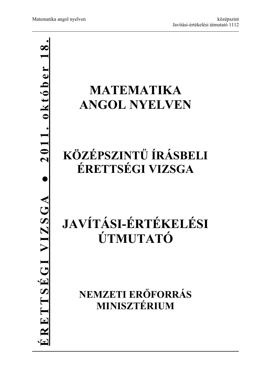# **● 2011. október 18.**

# **MATEMATIKA ANGOL NYELVEN**

# **KÖZÉPSZINTŰ ÍRÁSBELI ÉRETTSÉGI VIZSGA**

# **JAVÍTÁSI-ÉRTÉKELÉSI ÚTMUTATÓ**

**NEMZETI ERŐFORRÁS MINISZTÉRIUM**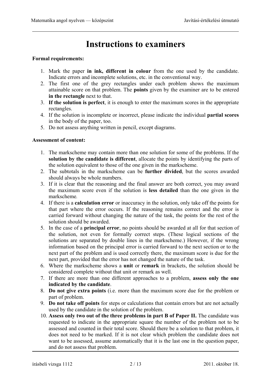# **Instructions to examiners**

### **Formal requirements:**

- 1. Mark the paper **in ink, different in colour** from the one used by the candidate. Indicate errors and incomplete solutions, etc. in the conventional way.
- 2. The first one of the grey rectangles under each problem shows the maximum attainable score on that problem. The **points** given by the examiner are to be entered **in the rectangle** next to that.
- 3. **If the solution is perfect**, it is enough to enter the maximum scores in the appropriate rectangles.
- 4. If the solution is incomplete or incorrect, please indicate the individual **partial scores**  in the body of the paper, too.
- 5. Do not assess anything written in pencil, except diagrams.

### **Assessment of content:**

- 1. The markscheme may contain more than one solution for some of the problems. If the **solution by the candidate is different**, allocate the points by identifying the parts of the solution equivalent to those of the one given in the markscheme.
- 2. The subtotals in the markscheme can be **further divided**, but the scores awarded should always be whole numbers.
- 3. If it is clear that the reasoning and the final answer are both correct, you may award the maximum score even if the solution is **less detailed** than the one given in the markscheme*.*
- 4. If there is a **calculation error** or inaccuracy in the solution, only take off the points for that part where the error occurs. If the reasoning remains correct and the error is carried forward without changing the nature of the task, the points for the rest of the solution should be awarded.
- 5. In the case of a **principal error**, no points should be awarded at all for that section of the solution, not even for formally correct steps. (These logical sections of the solutions are separated by double lines in the markscheme.) However, if the wrong information based on the principal error is carried forward to the next section or to the next part of the problem and is used correctly there, the maximum score is due for the next part, provided that the error has not changed the nature of the task.
- 6. Where the markscheme shows a **unit** or **remark** in brackets, the solution should be considered complete without that unit or remark as well.
- 7. If there are more than one different approaches to a problem, **assess only the one indicated by the candidate**.
- 8. **Do not give extra points** (i.e. more than the maximum score due for the problem or part of problem.
- 9. **Do not take off points** for steps or calculations that contain errors but are not actually used by the candidate in the solution of the problem.
- 10. **Assess only two out of the three problems in part B of Paper II.** The candidate was requested to indicate in the appropriate square the number of the problem not to be assessed and counted in their total score. Should there be a solution to that problem, it does not need to be marked. If it is not clear which problem the candidate does not want to be assessed, assume automatically that it is the last one in the question paper, and do not assess that problem.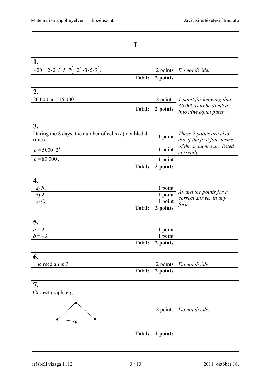**I** 

| $420 = 2 \cdot 2 \cdot 3 \cdot 5 \cdot 7 (= 2^2 \cdot 3 \cdot 5 \cdot 7).$ |                 | 2 points Do not divide. |
|----------------------------------------------------------------------------|-----------------|-------------------------|
|                                                                            | Total: 2 points |                         |

| 20 000 and 16 000. |  | 2 points   1 point for knowing that                        |
|--------------------|--|------------------------------------------------------------|
|                    |  | 36 000 is to be divided                                    |
|                    |  | <b>Total:</b> 2 points $\int$ <i>into nine equal parts</i> |

| During the 8 days, the number of cells $(c)$ doubled 4<br>times. | $1$ point | These 2 points are also<br>due if the first four terms |
|------------------------------------------------------------------|-----------|--------------------------------------------------------|
| $c = 5000 \cdot 2^4$ .                                           | 1 point   | of the sequence are listed<br>correctly.               |
| $c = 80000$ .                                                    | point     |                                                        |
| <b>Total:</b>                                                    | points    |                                                        |

| a)            | 1 point  |                                                 |
|---------------|----------|-------------------------------------------------|
|               | 1 point  | Award the points for a<br>correct answer in any |
| Ø<br>C.       | 1 point  |                                                 |
| <b>Total:</b> | 3 points | torm.                                           |

| $\ddot{\phantom{0}}$ |                   |  |
|----------------------|-------------------|--|
| $a = 2$ .            | $1$ point         |  |
|                      | l point           |  |
|                      | Total:   2 points |  |

| The median is 7. |                   | 2 points Do not divide. |
|------------------|-------------------|-------------------------|
|                  | Total:   2 points |                         |

| Correct graph, e.g. |          |                           |
|---------------------|----------|---------------------------|
|                     |          | 2 points   Do not divide. |
| Total:              | 2 points |                           |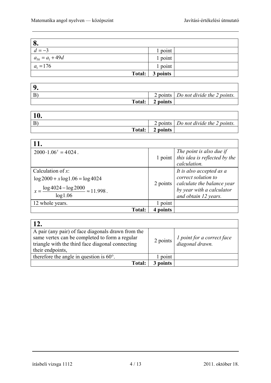| 8.                   |                 |  |
|----------------------|-----------------|--|
| $d=-3$               | 1 point         |  |
| $a_{50} = a_1 + 49d$ | 1 point         |  |
| $a_1 = 176$          | 1 point         |  |
|                      | Total: 3 points |  |

|               |          | 2 points   Do not divide the 2 points. |
|---------------|----------|----------------------------------------|
| <b>Total:</b> | 2 points |                                        |

| $^{\prime}$ 10.       |          |                                                     |
|-----------------------|----------|-----------------------------------------------------|
| $\mathbf{B}^{\prime}$ |          | 2 points $\vert$ <i>Do not divide the 2 points.</i> |
| Total:                | 2 points |                                                     |

| 11.                                                                                                                         |          |                                                                                                                                    |
|-----------------------------------------------------------------------------------------------------------------------------|----------|------------------------------------------------------------------------------------------------------------------------------------|
| $2000 \cdot 1.06^x = 4024$ .                                                                                                | 1 point  | The point is also due if<br>this idea is reflected by the<br>calculation.                                                          |
| Calculation of $x$ :<br>$\log 2000 + x \log 1.06 = \log 4024$<br>$\frac{\log 4024 - \log 2000}{\log 1.06} \approx 11.998$ . | 2 points | It is also accepted as a<br>correct solution to<br>calculate the balance year<br>by year with a calculator<br>and obtain 12 years. |
| 12 whole years.                                                                                                             | 1 point  |                                                                                                                                    |
| Total:                                                                                                                      | points   |                                                                                                                                    |

| <b>12.</b>                                                                                                                                                                   |          |                                                      |
|------------------------------------------------------------------------------------------------------------------------------------------------------------------------------|----------|------------------------------------------------------|
| A pair (any pair) of face diagonals drawn from the<br>same vertex can be completed to form a regular<br>triangle with the third face diagonal connecting<br>their endpoints, | 2 points | <i>l</i> point for a correct face<br>diagonal drawn. |
| therefore the angle in question is $60^\circ$ .                                                                                                                              | 1 point  |                                                      |
| <b>Total:</b>                                                                                                                                                                | points   |                                                      |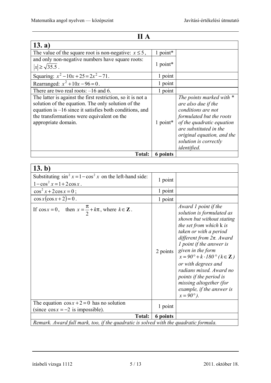| II A                                                                                                                                                                                                                                                |          |                                                                                                                                                                                                                                       |
|-----------------------------------------------------------------------------------------------------------------------------------------------------------------------------------------------------------------------------------------------------|----------|---------------------------------------------------------------------------------------------------------------------------------------------------------------------------------------------------------------------------------------|
| 13. a)                                                                                                                                                                                                                                              |          |                                                                                                                                                                                                                                       |
| The value of the square root is non-negative: $x \le 5$ ,                                                                                                                                                                                           | 1 point* |                                                                                                                                                                                                                                       |
| and only non-negative numbers have square roots:                                                                                                                                                                                                    |          |                                                                                                                                                                                                                                       |
| $ x  \geq \sqrt{35.5}$ .                                                                                                                                                                                                                            | 1 point* |                                                                                                                                                                                                                                       |
| Squaring: $x^2-10x+25=2x^2-71$ .                                                                                                                                                                                                                    | 1 point  |                                                                                                                                                                                                                                       |
| Rearranged: $x^2 + 10x - 96 = 0$ .                                                                                                                                                                                                                  | 1 point  |                                                                                                                                                                                                                                       |
| There are two real roots: $-16$ and 6.                                                                                                                                                                                                              | 1 point  |                                                                                                                                                                                                                                       |
| The latter is against the first restriction, so it is not a<br>solution of the equation. The only solution of the<br>equation is $-16$ since it satisfies both conditions, and<br>the transformations were equivalent on the<br>appropriate domain. | 1 point* | The points marked with *<br>are also due if the<br>conditions are not<br>formulated but the roots<br>of the quadratic equation<br>are substituted in the<br>original equation, and the<br>solution is correctly<br><i>identified.</i> |
| <b>Total:</b>                                                                                                                                                                                                                                       | 6 points |                                                                                                                                                                                                                                       |

| 13. b)                                                                                          |          |                                                                                                                                                                                                                                                                                                                                                                                                                                                       |
|-------------------------------------------------------------------------------------------------|----------|-------------------------------------------------------------------------------------------------------------------------------------------------------------------------------------------------------------------------------------------------------------------------------------------------------------------------------------------------------------------------------------------------------------------------------------------------------|
| Substituting $\sin^2 x = 1 - \cos^2 x$ on the left-hand side:<br>$1 - \cos^2 x = 1 + 2\cos x$ . | 1 point  |                                                                                                                                                                                                                                                                                                                                                                                                                                                       |
| $\cos^2 x + 2\cos x = 0$ ;                                                                      | 1 point  |                                                                                                                                                                                                                                                                                                                                                                                                                                                       |
| $\cos x(\cos x+2)=0$ .                                                                          | 1 point  |                                                                                                                                                                                                                                                                                                                                                                                                                                                       |
| If $\cos x = 0$ , then $x = \frac{\pi}{2} + k\pi$ , where $k \in \mathbb{Z}$ .                  | 2 points | Award 1 point if the<br>solution is formulated as<br>shown but without stating<br>the set from which k is<br>taken or with a period<br>different from $2\pi$ . Award<br><i>l</i> point if the answer is<br>given in the form<br>$x = 90^\circ + k \cdot 180^\circ$ ( $k \in \mathbb{Z}$ )<br>or with degrees and<br>radians mixed. Award no<br>points if the period is<br>missing altogether (for<br>example, if the answer is<br>$x = 90^{\circ}$ ). |
| The equation $\cos x + 2 = 0$ has no solution<br>(since $\cos x = -2$ is impossible).           | 1 point  |                                                                                                                                                                                                                                                                                                                                                                                                                                                       |
| <b>Total:</b>                                                                                   | 6 points |                                                                                                                                                                                                                                                                                                                                                                                                                                                       |
| Remark. Award full mark, too, if the quadratic is solved with the quadratic formula.            |          |                                                                                                                                                                                                                                                                                                                                                                                                                                                       |

## írásbeli vizsga 1112 5 / 13 2011. október 18.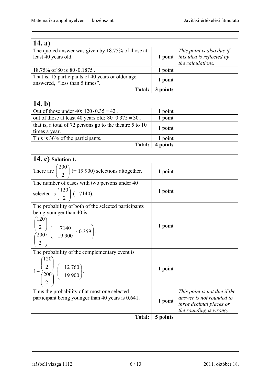| 14. a)                                            |           |                           |
|---------------------------------------------------|-----------|---------------------------|
| The quoted answer was given by 18.75% of those at |           | This point is also due if |
| least 40 years old.                               | $1$ point | this idea is reflected by |
|                                                   |           | the calculations.         |
| $18.75\%$ of 80 is $80 \cdot 0.1875$ .            | 1 point   |                           |
| That is, 15 participants of 40 years or older age | 1 point   |                           |
| answered, "less than 5 times".                    |           |                           |
| Total:                                            | points    |                           |

| 14. b)                                                                      |          |  |
|-----------------------------------------------------------------------------|----------|--|
| Out of those under 40: $120 \cdot 0.35 = 42$ ,                              | point    |  |
| out of those at least 40 years old: $80 \cdot 0.375 = 30$ ,                 | 1 point  |  |
| that is, a total of 72 persons go to the theatre $5$ to 10<br>times a year. | 1 point  |  |
| This is 36% of the participants.                                            | point    |  |
| <b>Total:</b>                                                               | 4 points |  |

| <b>14. c)</b> Solution 1.                                             |          |                                                   |
|-----------------------------------------------------------------------|----------|---------------------------------------------------|
| There are $\binom{200}{2}$ (= 19 900) selections altogether.          | 1 point  |                                                   |
| The number of cases with two persons under 40                         |          |                                                   |
| selected is $\binom{120}{2}$ (= 7140).                                | 1 point  |                                                   |
| The probability of both of the selected participants                  |          |                                                   |
| being younger than 40 is                                              |          |                                                   |
| (120)                                                                 | 1 point  |                                                   |
| $\frac{(2)}{(200)}$ $\left(=\frac{7140}{19900}\approx 0.359\right)$ . |          |                                                   |
|                                                                       |          |                                                   |
| The probability of the complementary event is                         |          |                                                   |
|                                                                       |          |                                                   |
| $1-\frac{2}{200}\left(\frac{12\,760}{19\,900}\right).$                | 1 point  |                                                   |
|                                                                       |          |                                                   |
| Thus the probability of at most one selected                          |          | This point is not due if the                      |
| participant being younger than 40 years is 0.641.                     | 1 point  | answer is not rounded to                          |
|                                                                       |          | three decimal places or<br>the rounding is wrong. |
| <b>Total:</b>                                                         | 5 points |                                                   |

írásbeli vizsga 1112 6 / 13 2011. október 18.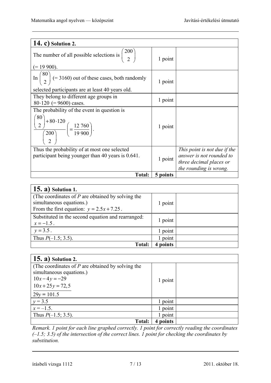| <b>14. c)</b> Solution 2.                                                                                                                                  |          |                                                                                                               |
|------------------------------------------------------------------------------------------------------------------------------------------------------------|----------|---------------------------------------------------------------------------------------------------------------|
| The number of all possible selections is $\binom{200}{2}$<br>$(= 19 900).$                                                                                 | 1 point  |                                                                                                               |
| In $\binom{80}{2}$ (= 3160) out of these cases, both randomly<br>selected participants are at least 40 years old.                                          | 1 point  |                                                                                                               |
| They belong to different age groups in<br>$80.120$ (= 9600) cases.                                                                                         | 1 point  |                                                                                                               |
| The probability of the event in question is<br>80 <sup>°</sup><br>$\frac{\binom{80}{2} + 80.120}{\binom{200}{}} \left( = \frac{12\,760}{19\,900} \right).$ | 1 point  |                                                                                                               |
| Thus the probability of at most one selected<br>participant being younger than 40 years is 0.641.                                                          | 1 point  | This point is not due if the<br>answer is not rounded to<br>three decimal places or<br>the rounding is wrong. |
| Total:                                                                                                                                                     | 5 points |                                                                                                               |

| $(15. a)$ Solution 1.                                                                                                           |         |  |
|---------------------------------------------------------------------------------------------------------------------------------|---------|--|
| (The coordinates of $P$ are obtained by solving the<br>simultaneous equations.)<br>From the first equation: $y = 2.5x + 7.25$ . | 1 point |  |
| Substituted in the second equation and rearranged:<br>$x = -1.5$ .                                                              | 1 point |  |
| $y = 3.5$ .                                                                                                                     | 1 point |  |
| Thus $P(-1.5; 3.5)$ .                                                                                                           | point   |  |
| <b>Total:</b>                                                                                                                   | points  |  |

| <b>15. a)</b> Solution 2.                                                                                                              |          |  |
|----------------------------------------------------------------------------------------------------------------------------------------|----------|--|
| (The coordinates of $P$ are obtained by solving the<br>simultaneous equations.)<br>$10x-4y=-29$<br>$10x + 25y = 72,5$<br>$29y = 101.5$ | 1 point  |  |
| $y = 3.5$                                                                                                                              | 1 point  |  |
| $x = -1.5$ .                                                                                                                           | 1 point  |  |
|                                                                                                                                        |          |  |
| Thus $P(-1.5; 3.5)$ .                                                                                                                  | 1 point  |  |
| Total:                                                                                                                                 | 4 points |  |

*Remark. 1 point for each line graphed correctly. 1 point for correctly reading the coordinates (–1.5; 3.5) of the intersection of the correct lines. 1 point for checking the coordinates by substitution.*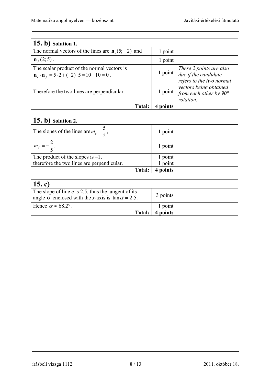| <b>15. b)</b> Solution 1.                                                                                 |         |                                                                                           |
|-----------------------------------------------------------------------------------------------------------|---------|-------------------------------------------------------------------------------------------|
| The normal vectors of the lines are $\mathbf{n}_{e}(5, -2)$ and                                           | 1 point |                                                                                           |
| $\mathbf{n}_{f}(2;5)$ .                                                                                   | 1 point |                                                                                           |
| The scalar product of the normal vectors is<br>$n_e \cdot n_f = 5 \cdot 2 + (-2) \cdot 5 = 10 - 10 = 0$ . | 1 point | These 2 points are also<br>due if the candidate                                           |
| Therefore the two lines are perpendicular.                                                                | 1 point | refers to the two normal<br>vectors being obtained<br>from each other by 90°<br>rotation. |
| <b>Total:</b>                                                                                             | noints  |                                                                                           |

| $(15. b)$ Solution 2.                             |         |  |
|---------------------------------------------------|---------|--|
| The slopes of the lines are $m_e = \frac{3}{2}$ , | 1 point |  |
| $m_f =$                                           | 1 point |  |
| The product of the slopes is $-1$ ,               | point   |  |
| therefore the two lines are perpendicular.        | point   |  |
| <b>Total:</b>                                     | points  |  |

| 15. c)                                                                                                                    |          |  |
|---------------------------------------------------------------------------------------------------------------------------|----------|--|
| The slope of line $e$ is 2.5, thus the tangent of its<br>angle $\alpha$ enclosed with the x-axis is $\tan \alpha = 2.5$ . | 3 points |  |
| Hence $\alpha \approx 68.2^{\circ}$ .                                                                                     | 1 point  |  |
| Total:                                                                                                                    | 4 points |  |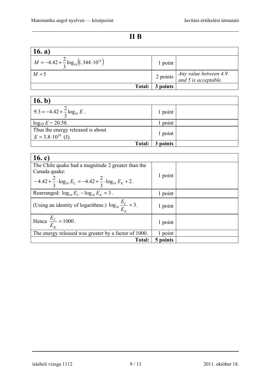# **II B**

| 16. a)                                                    |                 |                                                                                   |
|-----------------------------------------------------------|-----------------|-----------------------------------------------------------------------------------|
| $M = -4.42 + \frac{2}{3} \log_{10} (1.344 \cdot 10^{14})$ | 1 point         |                                                                                   |
| $M \approx 5$                                             |                 | 2 points $\begin{cases} Any value between 4.9 \ and 5 is acceptable. \end{cases}$ |
|                                                           | Total: 3 points |                                                                                   |

| 16. b)                                                                  |          |  |
|-------------------------------------------------------------------------|----------|--|
| 9.3 = $-4.42 + \frac{2}{3} \log_{10} E$ .                               | 1 point  |  |
| $log_{10} E = 20.58$ .                                                  | point    |  |
| Thus the energy released is about<br>$E \approx 3.8 \cdot 10^{20}$ (J). | 1 point  |  |
| Total:                                                                  | 3 points |  |

| 16. c)                                                                                    |          |  |
|-------------------------------------------------------------------------------------------|----------|--|
| The Chile quake had a magnitude 2 greater than the                                        |          |  |
| Canada quake:                                                                             |          |  |
| $-4.42 + \frac{2}{3} \cdot \log_{10} E_C = -4.42 + \frac{2}{3} \cdot \log_{10} E_K + 2$ . | 1 point  |  |
| Rearranged: $\log_{10} E_C - \log_{10} E_K = 3$ .                                         | 1 point  |  |
| (Using an identity of logarithms:) $\log_{10} \frac{E_C}{E_V} = 3$ .                      | 1 point  |  |
| Hence $\frac{E_C}{E_K}$ = 1000.                                                           | 1 point  |  |
| The energy released was greater by a factor of 1000.                                      | 1 point  |  |
| <b>Total:</b>                                                                             | 5 points |  |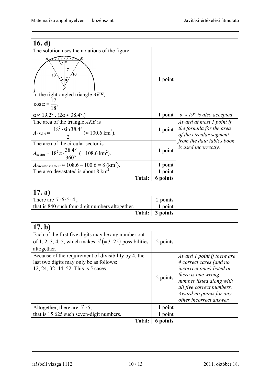| 16. $d)$                                                                                                                                      |          |                                                     |
|-----------------------------------------------------------------------------------------------------------------------------------------------|----------|-----------------------------------------------------|
| The solution uses the notations of the figure.                                                                                                |          |                                                     |
| F<br>17<br>18<br>ala<br>In the right-angled triangle AKF,<br>$\cos\alpha = \frac{17}{18},$                                                    | 1 point  |                                                     |
| $\alpha \approx 19.2^{\circ}$ . $(2\alpha \approx 38.4^{\circ})$                                                                              | 1 point  | $\alpha \approx 19^{\circ}$ is also accepted.       |
| The area of the triangle AKB is                                                                                                               |          | Award at most 1 point if                            |
| $A_{AKBA} \approx \frac{18^2 \cdot \sin 38.4^{\circ}}{2} (\approx 100.6 \text{ km}^2).$                                                       | 1 point  | the formula for the area<br>of the circular segment |
| The area of the circular sector is<br>$A_{\text{sector}} \approx 18^2 \pi \cdot \frac{38.4^{\circ}}{360^{\circ}} \approx 108.6 \text{ km}^2.$ | 1 point  | from the data tables book<br>is used incorrectly.   |
| $A_{\text{circular segment}} \approx 108.6 - 100.6 = 8 \text{ (km}^2).$                                                                       | 1 point  |                                                     |
| The area devastated is about $8 \text{ km}^2$ .                                                                                               | 1 point  |                                                     |
| <b>Total:</b>                                                                                                                                 | 6 points |                                                     |

| 17. a)                                          |          |  |
|-------------------------------------------------|----------|--|
| There are $7 \cdot 6 \cdot 5 \cdot 4$ ,         | 2 points |  |
| that is 840 such four-digit numbers altogether. | 1 point  |  |
| <b>Total:</b>                                   | 3 points |  |

| (17. b)                                                                                                                                 |          |                                                                                                                                                                                                                         |
|-----------------------------------------------------------------------------------------------------------------------------------------|----------|-------------------------------------------------------------------------------------------------------------------------------------------------------------------------------------------------------------------------|
| Each of the first five digits may be any number out<br>of 1, 2, 3, 4, 5, which makes $5^{5} (= 3125)$ possibilities<br>altogether.      | 2 points |                                                                                                                                                                                                                         |
| Because of the requirement of divisibility by 4, the<br>last two digits may only be as follows:<br>12, 24, 32, 44, 52. This is 5 cases. | 2 points | Award 1 point if there are<br>4 correct cases (and no<br>incorrect ones) listed or<br>there is one wrong<br>number listed along with<br>all five correct numbers.<br>Award no points for any<br>other incorrect answer. |
| Altogether, there are $5^5 \cdot 5$ ,                                                                                                   | 1 point  |                                                                                                                                                                                                                         |
| that is 15 625 such seven-digit numbers.                                                                                                | 1 point  |                                                                                                                                                                                                                         |
| Total:                                                                                                                                  | 6 points |                                                                                                                                                                                                                         |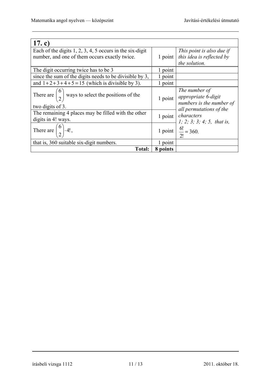| 17. c)                                                                                                   |          |                                                                  |
|----------------------------------------------------------------------------------------------------------|----------|------------------------------------------------------------------|
| Each of the digits $1, 2, 3, 4, 5$ occurs in the six-digit                                               |          | This point is also due if                                        |
| number, and one of them occurs exactly twice.                                                            | 1 point  | this idea is reflected by                                        |
|                                                                                                          |          | the solution.                                                    |
| The digit occurring twice has to be 3                                                                    | 1 point  |                                                                  |
| since the sum of the digits needs to be divisible by 3,                                                  | 1 point  |                                                                  |
| and $1+2+3+4+5=15$ (which is divisible by 3).                                                            | 1 point  |                                                                  |
| There are $\begin{pmatrix} 6 \\ 2 \end{pmatrix}$ ways to select the positions of the<br>two digits of 3. | 1 point  | The number of<br>appropriate 6-digit<br>numbers is the number of |
| The remaining 4 places may be filled with the other                                                      |          | all permutations of the                                          |
| digits in 4! ways.                                                                                       | 1 point  | characters<br>1; 2; 3; 3; 4; 5, that is,                         |
| There are $\binom{6}{2}$ .4!,                                                                            |          | 1 point $\frac{6!}{2!} = 360.$                                   |
| that is, 360 suitable six-digit numbers.                                                                 | 1 point  |                                                                  |
| <b>Total:</b>                                                                                            | 8 points |                                                                  |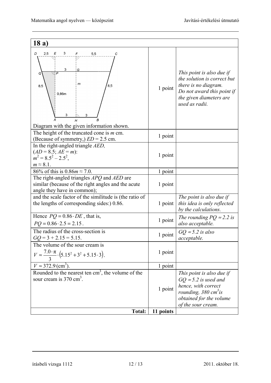| 18a)                                                                                                                                                  |           |                                                                                                                                                                      |
|-------------------------------------------------------------------------------------------------------------------------------------------------------|-----------|----------------------------------------------------------------------------------------------------------------------------------------------------------------------|
| 2,5<br>D<br>Ε<br>3<br>F<br>5,5<br>С<br>3<br>G<br>Q<br>$\mathsf{m}$<br>8,5<br>8,5<br>0,86m<br>3<br>3<br>H<br>Diagram with the given information shown. | 1 point   | This point is also due if<br>the solution is correct but<br>there is no diagram.<br>Do not award this point if<br>the given diameters are<br>used as radii.          |
| The height of the truncated cone is $m$ cm.<br>(Because of symmetry,) $ED = 2.5$ cm.                                                                  | 1 point   |                                                                                                                                                                      |
| In the right-angled triangle AED,<br>$(AD = 8.5; AE = m)$ :<br>$m^2 = 8.5^2 - 2.5^2$ ,<br>$m \approx 8.1$ .                                           | 1 point   |                                                                                                                                                                      |
| 86% of this is 0.86 $m \approx 7.0$ .                                                                                                                 | 1 point   |                                                                                                                                                                      |
| The right-angled triangles APQ and AED are<br>similar (because of the right angles and the acute<br>angle they have in common);                       | 1 point   |                                                                                                                                                                      |
| and the scale factor of the similitude is (the ratio of<br>the lengths of corresponding sides:) 0.86.                                                 | 1 point   | The point is also due if<br>this idea is only reflected<br>by the calculations.                                                                                      |
| Hence $PQ = 0.86 \cdot DE$ , that is,<br>$PQ = 0.86 \cdot 2.5 = 2.15$ .                                                                               | 1 point   | The rounding $PQ \approx 2.2$ is<br>also acceptable.                                                                                                                 |
| The radius of the cross-section is<br>$GO = 3 + 2.15 = 5.15$ .                                                                                        | 1 point   | $GQ \approx 5.2$ is also<br>acceptable.                                                                                                                              |
| The volume of the sour cream is<br>$V \approx \frac{7.0 \cdot \pi}{3} \cdot (5.15^2 + 3^2 + 5.15 \cdot 3).$                                           | 1 point   |                                                                                                                                                                      |
| $V \approx 372.9 \text{ (cm}^3)$ .                                                                                                                    | 1 point   |                                                                                                                                                                      |
| Rounded to the nearest ten $cm3$ , the volume of the<br>sour cream is $370 \text{ cm}^3$ .                                                            | 1 point   | This point is also due if<br>$GQ \approx 5.2$ is used and<br>hence, with correct<br>rounding, $380 \text{ cm}^3$ is<br>obtained for the volume<br>of the sour cream. |
| <b>Total:</b>                                                                                                                                         | 11 points |                                                                                                                                                                      |